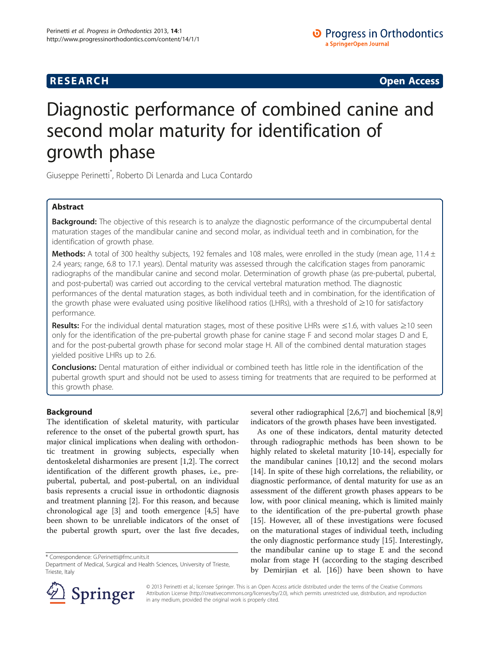**RESEARCH CHINESE ARCH CHINESE ARCH CHINESE ARCH <b>CHINESE ARCH** 

# Diagnostic performance of combined canine and second molar maturity for identification of growth phase

Giuseppe Perinetti\* , Roberto Di Lenarda and Luca Contardo

# Abstract

Background: The objective of this research is to analyze the diagnostic performance of the circumpubertal dental maturation stages of the mandibular canine and second molar, as individual teeth and in combination, for the identification of growth phase.

Methods: A total of 300 healthy subjects, 192 females and 108 males, were enrolled in the study (mean age,  $11.4 \pm$ 2.4 years; range, 6.8 to 17.1 years). Dental maturity was assessed through the calcification stages from panoramic radiographs of the mandibular canine and second molar. Determination of growth phase (as pre-pubertal, pubertal, and post-pubertal) was carried out according to the cervical vertebral maturation method. The diagnostic performances of the dental maturation stages, as both individual teeth and in combination, for the identification of the growth phase were evaluated using positive likelihood ratios (LHRs), with a threshold of ≥10 for satisfactory performance.

Results: For the individual dental maturation stages, most of these positive LHRs were  $\leq 1.6$ , with values  $\geq 10$  seen only for the identification of the pre-pubertal growth phase for canine stage F and second molar stages D and E, and for the post-pubertal growth phase for second molar stage H. All of the combined dental maturation stages yielded positive LHRs up to 2.6.

**Conclusions:** Dental maturation of either individual or combined teeth has little role in the identification of the pubertal growth spurt and should not be used to assess timing for treatments that are required to be performed at this growth phase.

# Background

The identification of skeletal maturity, with particular reference to the onset of the pubertal growth spurt, has major clinical implications when dealing with orthodontic treatment in growing subjects, especially when dentoskeletal disharmonies are present [\[1,2](#page-4-0)]. The correct identification of the different growth phases, i.e., prepubertal, pubertal, and post-pubertal, on an individual basis represents a crucial issue in orthodontic diagnosis and treatment planning [[2\]](#page-4-0). For this reason, and because chronological age [[3\]](#page-4-0) and tooth emergence [[4,5\]](#page-4-0) have been shown to be unreliable indicators of the onset of the pubertal growth spurt, over the last five decades,

\* Correspondence: [G.Perinetti@fmc.units.it](mailto:G.Perinetti@fmc.units.it)



As one of these indicators, dental maturity detected through radiographic methods has been shown to be highly related to skeletal maturity [\[10](#page-5-0)-[14](#page-5-0)], especially for the mandibular canines [[10,12](#page-5-0)] and the second molars [[14\]](#page-5-0). In spite of these high correlations, the reliability, or diagnostic performance, of dental maturity for use as an assessment of the different growth phases appears to be low, with poor clinical meaning, which is limited mainly to the identification of the pre-pubertal growth phase [[15\]](#page-5-0). However, all of these investigations were focused on the maturational stages of individual teeth, including the only diagnostic performance study [\[15](#page-5-0)]. Interestingly, the mandibular canine up to stage E and the second molar from stage H (according to the staging described by Demirjian et al. [\[16\]](#page-5-0)) have been shown to have



© 2013 Perinetti et al.; licensee Springer. This is an Open Access article distributed under the terms of the Creative Commons Attribution License [\(http://creativecommons.org/licenses/by/2.0\)](http://creativecommons.org/licenses/by/2.0), which permits unrestricted use, distribution, and reproduction in any medium, provided the original work is properly cited.

Department of Medical, Surgical and Health Sciences, University of Trieste, Trieste, Italy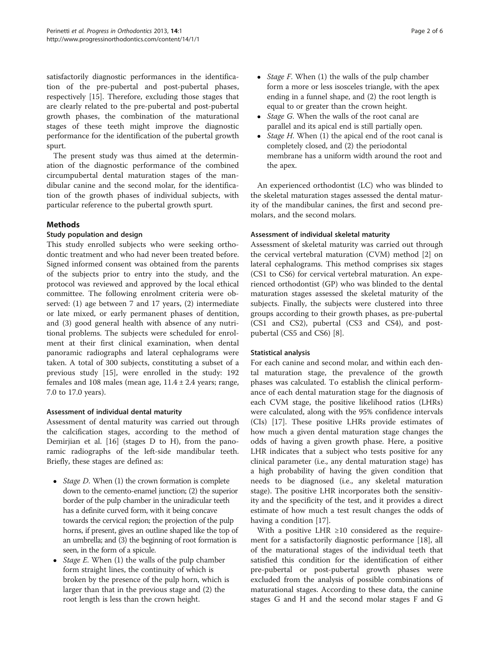satisfactorily diagnostic performances in the identification of the pre-pubertal and post-pubertal phases, respectively [\[15](#page-5-0)]. Therefore, excluding those stages that are clearly related to the pre-pubertal and post-pubertal growth phases, the combination of the maturational stages of these teeth might improve the diagnostic performance for the identification of the pubertal growth spurt.

The present study was thus aimed at the determination of the diagnostic performance of the combined circumpubertal dental maturation stages of the mandibular canine and the second molar, for the identification of the growth phases of individual subjects, with particular reference to the pubertal growth spurt.

# Methods

# Study population and design

This study enrolled subjects who were seeking orthodontic treatment and who had never been treated before. Signed informed consent was obtained from the parents of the subjects prior to entry into the study, and the protocol was reviewed and approved by the local ethical committee. The following enrolment criteria were observed: (1) age between 7 and 17 years, (2) intermediate or late mixed, or early permanent phases of dentition, and (3) good general health with absence of any nutritional problems. The subjects were scheduled for enrolment at their first clinical examination, when dental panoramic radiographs and lateral cephalograms were taken. A total of 300 subjects, constituting a subset of a previous study [\[15\]](#page-5-0), were enrolled in the study: 192 females and 108 males (mean age,  $11.4 \pm 2.4$  years; range, 7.0 to 17.0 years).

# Assessment of individual dental maturity

Assessment of dental maturity was carried out through the calcification stages, according to the method of Demirjian et al. [[16\]](#page-5-0) (stages D to H), from the panoramic radiographs of the left-side mandibular teeth. Briefly, these stages are defined as:

- *Stage D*. When  $(1)$  the crown formation is complete down to the cemento-enamel junction; (2) the superior border of the pulp chamber in the uniradicular teeth has a definite curved form, with it being concave towards the cervical region; the projection of the pulp horns, if present, gives an outline shaped like the top of an umbrella; and (3) the beginning of root formation is seen, in the form of a spicule.
- *Stage E.* When  $(1)$  the walls of the pulp chamber form straight lines, the continuity of which is broken by the presence of the pulp horn, which is larger than that in the previous stage and (2) the root length is less than the crown height.
- Stage  $F$ . When (1) the walls of the pulp chamber form a more or less isosceles triangle, with the apex ending in a funnel shape, and (2) the root length is equal to or greater than the crown height.
- Stage G. When the walls of the root canal are parallel and its apical end is still partially open.
- Stage H. When (1) the apical end of the root canal is completely closed, and (2) the periodontal membrane has a uniform width around the root and the apex.

An experienced orthodontist (LC) who was blinded to the skeletal maturation stages assessed the dental maturity of the mandibular canines, the first and second premolars, and the second molars.

# Assessment of individual skeletal maturity

Assessment of skeletal maturity was carried out through the cervical vertebral maturation (CVM) method [\[2](#page-4-0)] on lateral cephalograms. This method comprises six stages (CS1 to CS6) for cervical vertebral maturation. An experienced orthodontist (GP) who was blinded to the dental maturation stages assessed the skeletal maturity of the subjects. Finally, the subjects were clustered into three groups according to their growth phases, as pre-pubertal (CS1 and CS2), pubertal (CS3 and CS4), and postpubertal (CS5 and CS6) [\[8\]](#page-4-0).

# Statistical analysis

For each canine and second molar, and within each dental maturation stage, the prevalence of the growth phases was calculated. To establish the clinical performance of each dental maturation stage for the diagnosis of each CVM stage, the positive likelihood ratios (LHRs) were calculated, along with the 95% confidence intervals (CIs) [[17\]](#page-5-0). These positive LHRs provide estimates of how much a given dental maturation stage changes the odds of having a given growth phase. Here, a positive LHR indicates that a subject who tests positive for any clinical parameter (i.e., any dental maturation stage) has a high probability of having the given condition that needs to be diagnosed (i.e., any skeletal maturation stage). The positive LHR incorporates both the sensitivity and the specificity of the test, and it provides a direct estimate of how much a test result changes the odds of having a condition [[17\]](#page-5-0).

With a positive LHR ≥10 considered as the requirement for a satisfactorily diagnostic performance [\[18](#page-5-0)], all of the maturational stages of the individual teeth that satisfied this condition for the identification of either pre-pubertal or post-pubertal growth phases were excluded from the analysis of possible combinations of maturational stages. According to these data, the canine stages G and H and the second molar stages F and G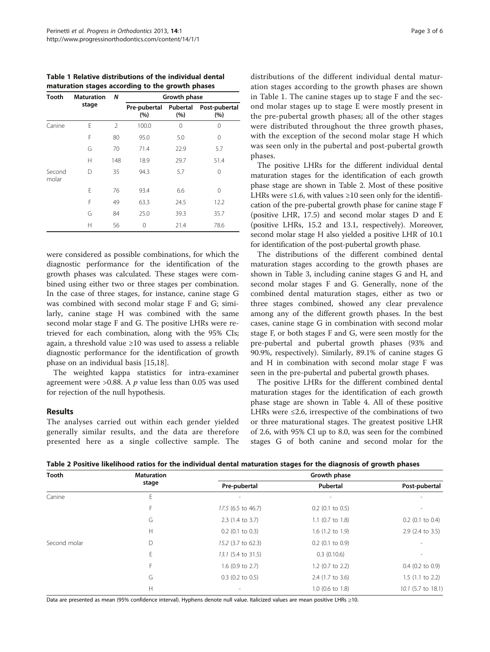<span id="page-2-0"></span>Table 1 Relative distributions of the individual dental maturation stages according to the growth phases

| Tooth           | <b>Maturation</b><br>stage | N              | Growth phase        |                 |                      |  |
|-----------------|----------------------------|----------------|---------------------|-----------------|----------------------|--|
|                 |                            |                | Pre-pubertal<br>(%) | Pubertal<br>(%) | Post-pubertal<br>(%) |  |
| Canine          | F                          | $\mathfrak{D}$ | 100.0               | 0               | $\Omega$             |  |
|                 | F                          | 80             | 95.0                | 5.0             | 0                    |  |
|                 | G                          | 70             | 71.4                | 22.9            | 5.7                  |  |
|                 | Н                          | 148            | 18.9                | 29.7            | 51.4                 |  |
| Second<br>molar | D                          | 35             | 94.3                | 5.7             | 0                    |  |
|                 | F                          | 76             | 93.4                | 6.6             | 0                    |  |
|                 | F                          | 49             | 63.3                | 24.5            | 12.2                 |  |
|                 | G                          | 84             | 25.0                | 39.3            | 35.7                 |  |
|                 | Н                          | 56             | 0                   | 21.4            | 78.6                 |  |

were considered as possible combinations, for which the diagnostic performance for the identification of the growth phases was calculated. These stages were combined using either two or three stages per combination. In the case of three stages, for instance, canine stage G was combined with second molar stage F and G; similarly, canine stage H was combined with the same second molar stage F and G. The positive LHRs were retrieved for each combination, along with the 95% CIs; again, a threshold value  $\geq 10$  was used to assess a reliable diagnostic performance for the identification of growth phase on an individual basis [\[15,18\]](#page-5-0).

The weighted kappa statistics for intra-examiner agreement were  $>0.88$ . A p value less than 0.05 was used for rejection of the null hypothesis.

### Results

The analyses carried out within each gender yielded generally similar results, and the data are therefore presented here as a single collective sample. The distributions of the different individual dental maturation stages according to the growth phases are shown in Table 1. The canine stages up to stage F and the second molar stages up to stage E were mostly present in the pre-pubertal growth phases; all of the other stages were distributed throughout the three growth phases, with the exception of the second molar stage H which was seen only in the pubertal and post-pubertal growth phases.

The positive LHRs for the different individual dental maturation stages for the identification of each growth phase stage are shown in Table 2. Most of these positive LHRs were  $\leq 1.6$ , with values  $\geq 10$  seen only for the identification of the pre-pubertal growth phase for canine stage F (positive LHR, 17.5) and second molar stages D and E (positive LHRs, 15.2 and 13.1, respectively). Moreover, second molar stage H also yielded a positive LHR of 10.1 for identification of the post-pubertal growth phase.

The distributions of the different combined dental maturation stages according to the growth phases are shown in Table [3](#page-3-0), including canine stages G and H, and second molar stages F and G. Generally, none of the combined dental maturation stages, either as two or three stages combined, showed any clear prevalence among any of the different growth phases. In the best cases, canine stage G in combination with second molar stage F, or both stages F and G, were seen mostly for the pre-pubertal and pubertal growth phases (93% and 90.9%, respectively). Similarly, 89.1% of canine stages G and H in combination with second molar stage F was seen in the pre-pubertal and pubertal growth phases.

The positive LHRs for the different combined dental maturation stages for the identification of each growth phase stage are shown in Table [4](#page-3-0). All of these positive LHRs were  $\leq$ 2.6, irrespective of the combinations of two or three maturational stages. The greatest positive LHR of 2.6, with 95% CI up to 8.0, was seen for the combined stages G of both canine and second molar for the

| <b>Tooth</b> | <b>Maturation</b><br>stage | Growth phase             |                             |                          |  |
|--------------|----------------------------|--------------------------|-----------------------------|--------------------------|--|
|              |                            | Pre-pubertal             | Pubertal                    | Post-pubertal            |  |
| Canine       | E                          | $\overline{a}$           | ٠                           | $\overline{\phantom{a}}$ |  |
|              | F                          | 17.5 (6.5 to 46.7)       | $0.2$ (0.1 to 0.5)          | $\overline{\phantom{a}}$ |  |
|              | G                          | 2.3 (1.4 to 3.7)         | 1.1 $(0.7 \text{ to } 1.8)$ | $0.2$ (0.1 to 0.4)       |  |
|              | Н                          | $0.2$ (0.1 to 0.3)       | $1.6$ (1.2 to 1.9)          | $2.9$ (2.4 to 3.5)       |  |
| Second molar | D                          | 15.2 (3.7 to 62.3)       | $0.2$ (0.1 to 0.9)          |                          |  |
|              | Е                          | 13.1 (5.4 to 31.5)       | 0.3(0.10.6)                 |                          |  |
|              | F.                         | 1.6 (0.9 to 2.7)         | 1.2 (0.7 to 2.2)            | $0.4$ (0.2 to 0.9)       |  |
|              | G                          | $0.3$ (0.2 to 0.5)       | 2.4 (1.7 to 3.6)            | $1.5$ (1.1 to 2.2)       |  |
|              | Н                          | $\overline{\phantom{a}}$ | $1.0$ (0.6 to 1.8)          | 10.1 (5.7 to 18.1)       |  |

Data are presented as mean (95% confidence interval). Hyphens denote null value. Italicized values are mean positive LHRs ≥10.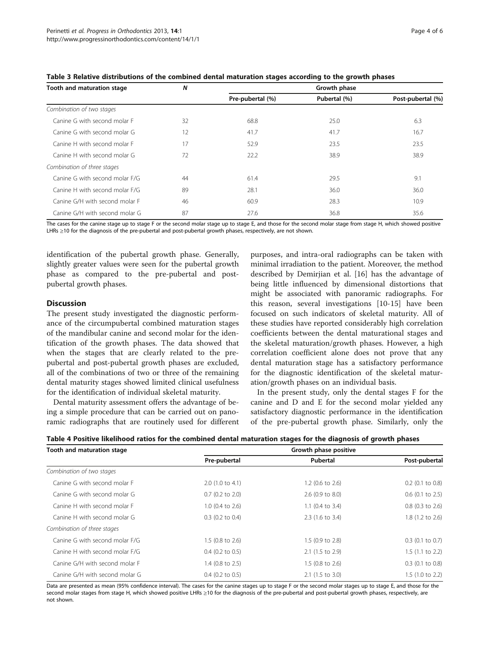| Tooth and maturation stage     | N  | Growth phase     |              |                   |
|--------------------------------|----|------------------|--------------|-------------------|
|                                |    | Pre-pubertal (%) | Pubertal (%) | Post-pubertal (%) |
| Combination of two stages      |    |                  |              |                   |
| Canine G with second molar F   | 32 | 68.8             | 25.0         | 6.3               |
| Canine G with second molar G   | 12 | 41.7             | 41.7         | 16.7              |
| Canine H with second molar F   | 17 | 52.9             | 23.5         | 23.5              |
| Canine H with second molar G   | 72 | 22.2             | 38.9         | 38.9              |
| Combination of three stages    |    |                  |              |                   |
| Canine G with second molar F/G | 44 | 61.4             | 29.5         | 9.1               |
| Canine H with second molar F/G | 89 | 28.1             | 36.0         | 36.0              |
| Canine G/H with second molar F | 46 | 60.9             | 28.3         | 10.9              |
| Canine G/H with second molar G | 87 | 27.6             | 36.8         | 35.6              |

<span id="page-3-0"></span>

| Table 3 Relative distributions of the combined dental maturation stages according to the growth phases |  |  |
|--------------------------------------------------------------------------------------------------------|--|--|
|--------------------------------------------------------------------------------------------------------|--|--|

The cases for the canine stage up to stage F or the second molar stage up to stage E, and those for the second molar stage from stage H, which showed positive LHRs ≥10 for the diagnosis of the pre-pubertal and post-pubertal growth phases, respectively, are not shown.

identification of the pubertal growth phase. Generally, slightly greater values were seen for the pubertal growth phase as compared to the pre-pubertal and postpubertal growth phases.

## **Discussion**

The present study investigated the diagnostic performance of the circumpubertal combined maturation stages of the mandibular canine and second molar for the identification of the growth phases. The data showed that when the stages that are clearly related to the prepubertal and post-pubertal growth phases are excluded, all of the combinations of two or three of the remaining dental maturity stages showed limited clinical usefulness for the identification of individual skeletal maturity.

Dental maturity assessment offers the advantage of being a simple procedure that can be carried out on panoramic radiographs that are routinely used for different

purposes, and intra-oral radiographs can be taken with minimal irradiation to the patient. Moreover, the method described by Demirjian et al. [\[16\]](#page-5-0) has the advantage of being little influenced by dimensional distortions that might be associated with panoramic radiographs. For this reason, several investigations [\[10](#page-5-0)-[15](#page-5-0)] have been focused on such indicators of skeletal maturity. All of these studies have reported considerably high correlation coefficients between the dental maturational stages and the skeletal maturation/growth phases. However, a high correlation coefficient alone does not prove that any dental maturation stage has a satisfactory performance for the diagnostic identification of the skeletal maturation/growth phases on an individual basis.

In the present study, only the dental stages F for the canine and D and E for the second molar yielded any satisfactory diagnostic performance in the identification of the pre-pubertal growth phase. Similarly, only the

| Table 4 Positive likelihood ratios for the combined dental maturation stages for the diagnosis of growth phases |  |  |
|-----------------------------------------------------------------------------------------------------------------|--|--|
|-----------------------------------------------------------------------------------------------------------------|--|--|

| Tooth and maturation stage     | Growth phase positive |                             |                    |  |
|--------------------------------|-----------------------|-----------------------------|--------------------|--|
|                                | Pre-pubertal          | Pubertal                    | Post-pubertal      |  |
| Combination of two stages      |                       |                             |                    |  |
| Canine G with second molar F   | $2.0$ (1.0 to 4.1)    | $1.2$ (0.6 to 2.6)          | $0.2$ (0.1 to 0.8) |  |
| Canine G with second molar G   | $0.7$ (0.2 to 2.0)    | $2.6$ (0.9 to 8.0)          | $0.6$ (0.1 to 2.5) |  |
| Canine H with second molar F   | $1.0$ (0.4 to 2.6)    | 1.1 $(0.4 \text{ to } 3.4)$ | $0.8$ (0.3 to 2.6) |  |
| Canine H with second molar G   | $0.3$ (0.2 to 0.4)    | $2.3$ (1.6 to 3.4)          | $1.8$ (1.2 to 2.6) |  |
| Combination of three stages    |                       |                             |                    |  |
| Canine G with second molar F/G | $1.5$ (0.8 to 2.6)    | $1.5$ (0.9 to 2.8)          | $0.3$ (0.1 to 0.7) |  |
| Canine H with second molar F/G | $0.4$ (0.2 to 0.5)    | $2.1$ (1.5 to 2.9)          | $1.5$ (1.1 to 2.2) |  |
| Canine G/H with second molar F | 1.4 (0.8 to 2.5)      | $1.5$ (0.8 to 2.6)          | $0.3$ (0.1 to 0.8) |  |
| Canine G/H with second molar G | $0.4$ (0.2 to 0.5)    | $2.1$ (1.5 to 3.0)          | $1.5$ (1.0 to 2.2) |  |

Data are presented as mean (95% confidence interval). The cases for the canine stages up to stage F or the second molar stages up to stage E, and those for the second molar stages from stage H, which showed positive LHRs ≥10 for the diagnosis of the pre-pubertal and post-pubertal growth phases, respectively, are not shown.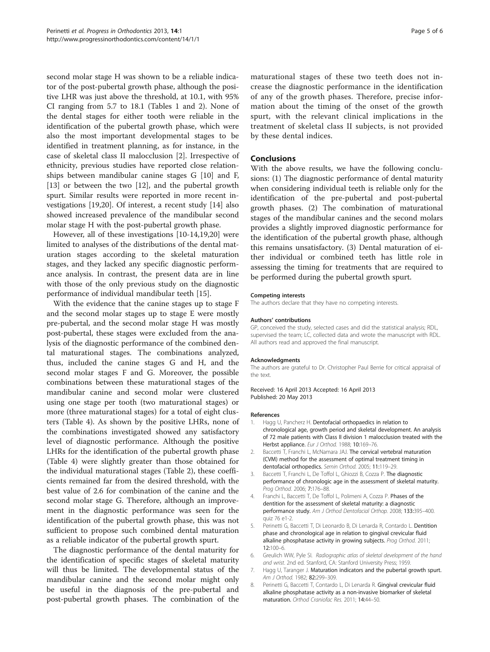<span id="page-4-0"></span>second molar stage H was shown to be a reliable indicator of the post-pubertal growth phase, although the positive LHR was just above the threshold, at 10.1, with 95% CI ranging from 5.7 to 18.1 (Tables [1](#page-2-0) and [2](#page-2-0)). None of the dental stages for either tooth were reliable in the identification of the pubertal growth phase, which were also the most important developmental stages to be identified in treatment planning, as for instance, in the case of skeletal class II malocclusion [2]. Irrespective of ethnicity, previous studies have reported close relationships between mandibular canine stages G [[10\]](#page-5-0) and F, [[13\]](#page-5-0) or between the two [[12\]](#page-5-0), and the pubertal growth spurt. Similar results were reported in more recent investigations [[19,20\]](#page-5-0). Of interest, a recent study [\[14\]](#page-5-0) also showed increased prevalence of the mandibular second molar stage H with the post-pubertal growth phase.

However, all of these investigations [\[10](#page-5-0)-[14,19,20\]](#page-5-0) were limited to analyses of the distributions of the dental maturation stages according to the skeletal maturation stages, and they lacked any specific diagnostic performance analysis. In contrast, the present data are in line with those of the only previous study on the diagnostic performance of individual mandibular teeth [[15\]](#page-5-0).

With the evidence that the canine stages up to stage F and the second molar stages up to stage E were mostly pre-pubertal, and the second molar stage H was mostly post-pubertal, these stages were excluded from the analysis of the diagnostic performance of the combined dental maturational stages. The combinations analyzed, thus, included the canine stages G and H, and the second molar stages F and G. Moreover, the possible combinations between these maturational stages of the mandibular canine and second molar were clustered using one stage per tooth (two maturational stages) or more (three maturational stages) for a total of eight clusters (Table [4\)](#page-3-0). As shown by the positive LHRs, none of the combinations investigated showed any satisfactory level of diagnostic performance. Although the positive LHRs for the identification of the pubertal growth phase (Table [4\)](#page-3-0) were slightly greater than those obtained for the individual maturational stages (Table [2](#page-2-0)), these coefficients remained far from the desired threshold, with the best value of 2.6 for combination of the canine and the second molar stage G. Therefore, although an improvement in the diagnostic performance was seen for the identification of the pubertal growth phase, this was not sufficient to propose such combined dental maturation as a reliable indicator of the pubertal growth spurt.

The diagnostic performance of the dental maturity for the identification of specific stages of skeletal maturity will thus be limited. The developmental status of the mandibular canine and the second molar might only be useful in the diagnosis of the pre-pubertal and post-pubertal growth phases. The combination of the maturational stages of these two teeth does not increase the diagnostic performance in the identification of any of the growth phases. Therefore, precise information about the timing of the onset of the growth spurt, with the relevant clinical implications in the treatment of skeletal class II subjects, is not provided by these dental indices.

# **Conclusions**

With the above results, we have the following conclusions: (1) The diagnostic performance of dental maturity when considering individual teeth is reliable only for the identification of the pre-pubertal and post-pubertal growth phases. (2) The combination of maturational stages of the mandibular canines and the second molars provides a slightly improved diagnostic performance for the identification of the pubertal growth phase, although this remains unsatisfactory. (3) Dental maturation of either individual or combined teeth has little role in assessing the timing for treatments that are required to be performed during the pubertal growth spurt.

#### Competing interests

The authors declare that they have no competing interests.

#### Authors' contributions

GP, conceived the study, selected cases and did the statistical analysis; RDL, supervised the team; LC, collected data and wrote the manuscript with RDL. All authors read and approved the final manuscript.

#### Acknowledgments

The authors are grateful to Dr. Christopher Paul Berrie for critical appraisal of the text.

Received: 16 April 2013 Accepted: 16 April 2013 Published: 20 May 2013

#### References

- 1. Hagg U, Pancherz H. Dentofacial orthopaedics in relation to chronological age, growth period and skeletal development. An analysis of 72 male patients with Class II division 1 malocclusion treated with the Herbst appliance. Eur J Orthod. 1988; 10:169-76.
- 2. Baccetti T, Franchi L, McNamara JAJ. The cervical vertebral maturation (CVM) method for the assessment of optimal treatment timing in dentofacial orthopedics. Semin Orthod. 2005; 11:119–29.
- 3. Baccetti T, Franchi L, De Toffol L, Ghiozzi B, Cozza P. The diagnostic performance of chronologic age in the assessment of skeletal maturity. Prog Orthod. 2006; 7:176–88.
- 4. Franchi L, Baccetti T, De Toffol L, Polimeni A, Cozza P. Phases of the dentition for the assessment of skeletal maturity: a diagnostic performance study. Am J Orthod Dentofacial Orthop. 2008; 133:395–400. quiz 76 e1-2.
- 5. Perinetti G, Baccetti T, Di Leonardo B, Di Lenarda R, Contardo L. Dentition phase and chronological age in relation to gingival crevicular fluid alkaline phosphatase activity in growing subjects. Prog Orthod. 2011; 12:100–6.
- 6. Greulich WW, Pyle SI. Radiographic atlas of skeletal development of the hand and wrist. 2nd ed. Stanford, CA: Stanford University Press; 1959.
- 7. Hagg U, Taranger J. Maturation indicators and the pubertal growth spurt. Am J Orthod. 1982; 82:299–309.
- 8. Perinetti G, Baccetti T, Contardo L, Di Lenarda R. Gingival crevicular fluid alkaline phosphatase activity as a non-invasive biomarker of skeletal maturation. Orthod Craniofac Res. 2011; 14:44–50.